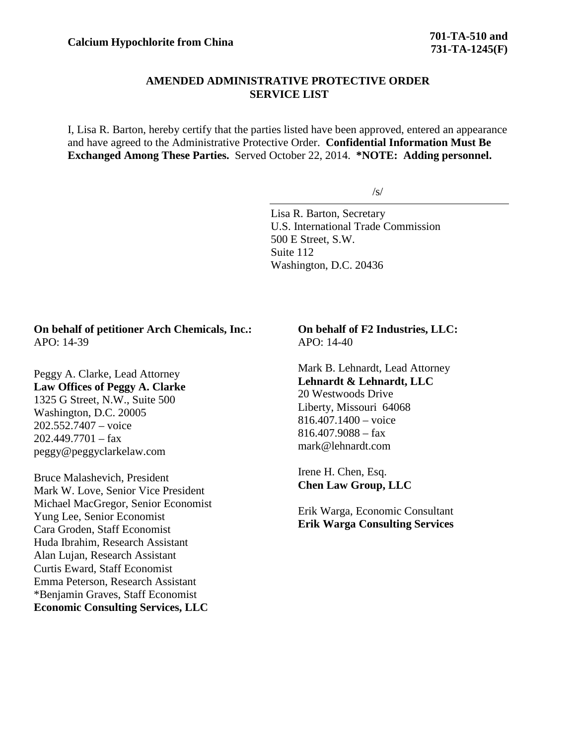## **AMENDED ADMINISTRATIVE PROTECTIVE ORDER SERVICE LIST**

I, Lisa R. Barton, hereby certify that the parties listed have been approved, entered an appearance and have agreed to the Administrative Protective Order. **Confidential Information Must Be Exchanged Among These Parties.** Served October 22, 2014. **\*NOTE: Adding personnel.**

 $/s/$ 

Lisa R. Barton, Secretary U.S. International Trade Commission 500 E Street, S.W. Suite 112 Washington, D.C. 20436

## **On behalf of petitioner Arch Chemicals, Inc.:** APO: 14-39

Peggy A. Clarke, Lead Attorney **Law Offices of Peggy A. Clarke** 1325 G Street, N.W., Suite 500 Washington, D.C. 20005 202.552.7407 – voice  $202.449.7701 - fax$ peggy@peggyclarkelaw.com

Bruce Malashevich, President Mark W. Love, Senior Vice President Michael MacGregor, Senior Economist Yung Lee, Senior Economist Cara Groden, Staff Economist Huda Ibrahim, Research Assistant Alan Lujan, Research Assistant Curtis Eward, Staff Economist Emma Peterson, Research Assistant \*Benjamin Graves, Staff Economist **Economic Consulting Services, LLC**

**On behalf of F2 Industries, LLC:** APO: 14-40

Mark B. Lehnardt, Lead Attorney **Lehnardt & Lehnardt, LLC** 20 Westwoods Drive Liberty, Missouri 64068 816.407.1400 – voice 816.407.9088 – fax mark@lehnardt.com

Irene H. Chen, Esq. **Chen Law Group, LLC**

Erik Warga, Economic Consultant **Erik Warga Consulting Services**